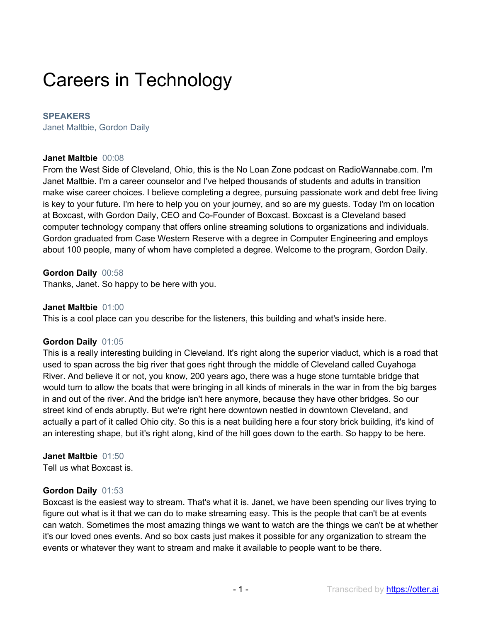# Careers in Technology

## **SPEAKERS**

Janet Maltbie, Gordon Daily

## **Janet Maltbie** 00:08

From the West Side of Cleveland, Ohio, this is the No Loan Zone podcast on RadioWannabe.com. I'm Janet Maltbie. I'm a career counselor and I've helped thousands of students and adults in transition make wise career choices. I believe completing a degree, pursuing passionate work and debt free living is key to your future. I'm here to help you on your journey, and so are my guests. Today I'm on location at Boxcast, with Gordon Daily, CEO and Co-Founder of Boxcast. Boxcast is a Cleveland based computer technology company that offers online streaming solutions to organizations and individuals. Gordon graduated from Case Western Reserve with a degree in Computer Engineering and employs about 100 people, many of whom have completed a degree. Welcome to the program, Gordon Daily.

# **Gordon Daily** 00:58

Thanks, Janet. So happy to be here with you.

# **Janet Maltbie** 01:00

This is a cool place can you describe for the listeners, this building and what's inside here.

# **Gordon Daily** 01:05

This is a really interesting building in Cleveland. It's right along the superior viaduct, which is a road that used to span across the big river that goes right through the middle of Cleveland called Cuyahoga River. And believe it or not, you know, 200 years ago, there was a huge stone turntable bridge that would turn to allow the boats that were bringing in all kinds of minerals in the war in from the big barges in and out of the river. And the bridge isn't here anymore, because they have other bridges. So our street kind of ends abruptly. But we're right here downtown nestled in downtown Cleveland, and actually a part of it called Ohio city. So this is a neat building here a four story brick building, it's kind of an interesting shape, but it's right along, kind of the hill goes down to the earth. So happy to be here.

# **Janet Maltbie** 01:50

Tell us what Boxcast is.

# **Gordon Daily** 01:53

Boxcast is the easiest way to stream. That's what it is. Janet, we have been spending our lives trying to figure out what is it that we can do to make streaming easy. This is the people that can't be at events can watch. Sometimes the most amazing things we want to watch are the things we can't be at whether it's our loved ones events. And so box casts just makes it possible for any organization to stream the events or whatever they want to stream and make it available to people want to be there.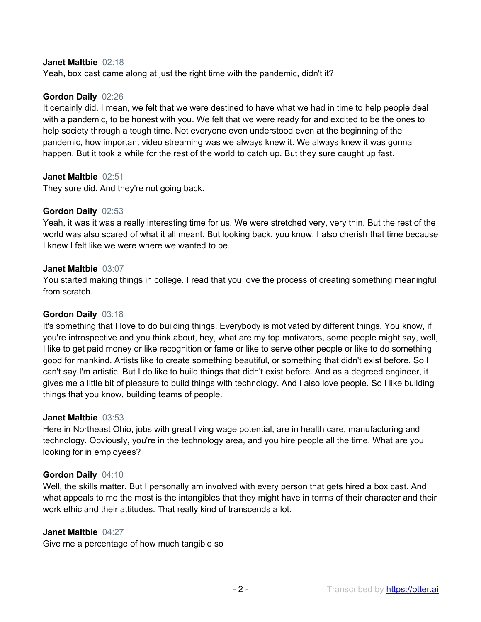## **Janet Maltbie** 02:18

Yeah, box cast came along at just the right time with the pandemic, didn't it?

# **Gordon Daily** 02:26

It certainly did. I mean, we felt that we were destined to have what we had in time to help people deal with a pandemic, to be honest with you. We felt that we were ready for and excited to be the ones to help society through a tough time. Not everyone even understood even at the beginning of the pandemic, how important video streaming was we always knew it. We always knew it was gonna happen. But it took a while for the rest of the world to catch up. But they sure caught up fast.

# **Janet Maltbie** 02:51

They sure did. And they're not going back.

# **Gordon Daily** 02:53

Yeah, it was it was a really interesting time for us. We were stretched very, very thin. But the rest of the world was also scared of what it all meant. But looking back, you know, I also cherish that time because I knew I felt like we were where we wanted to be.

## **Janet Maltbie** 03:07

You started making things in college. I read that you love the process of creating something meaningful from scratch.

## **Gordon Daily** 03:18

It's something that I love to do building things. Everybody is motivated by different things. You know, if you're introspective and you think about, hey, what are my top motivators, some people might say, well, I like to get paid money or like recognition or fame or like to serve other people or like to do something good for mankind. Artists like to create something beautiful, or something that didn't exist before. So I can't say I'm artistic. But I do like to build things that didn't exist before. And as a degreed engineer, it gives me a little bit of pleasure to build things with technology. And I also love people. So I like building things that you know, building teams of people.

#### **Janet Maltbie** 03:53

Here in Northeast Ohio, jobs with great living wage potential, are in health care, manufacturing and technology. Obviously, you're in the technology area, and you hire people all the time. What are you looking for in employees?

# **Gordon Daily** 04:10

Well, the skills matter. But I personally am involved with every person that gets hired a box cast. And what appeals to me the most is the intangibles that they might have in terms of their character and their work ethic and their attitudes. That really kind of transcends a lot.

## **Janet Maltbie** 04:27

Give me a percentage of how much tangible so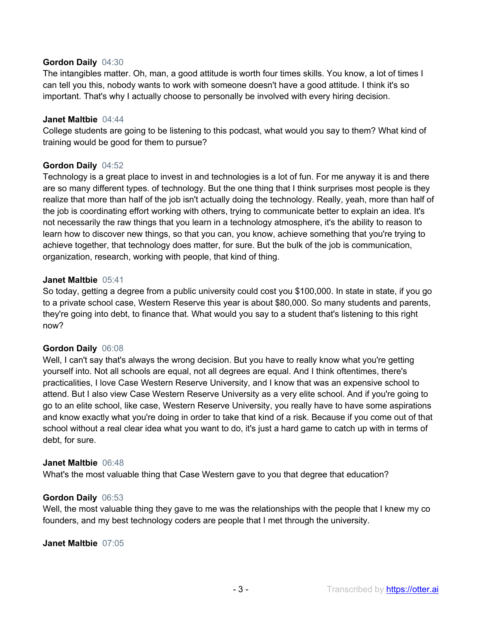# **Gordon Daily** 04:30

The intangibles matter. Oh, man, a good attitude is worth four times skills. You know, a lot of times I can tell you this, nobody wants to work with someone doesn't have a good attitude. I think it's so important. That's why I actually choose to personally be involved with every hiring decision.

### **Janet Maltbie** 04:44

College students are going to be listening to this podcast, what would you say to them? What kind of training would be good for them to pursue?

# **Gordon Daily** 04:52

Technology is a great place to invest in and technologies is a lot of fun. For me anyway it is and there are so many different types. of technology. But the one thing that I think surprises most people is they realize that more than half of the job isn't actually doing the technology. Really, yeah, more than half of the job is coordinating effort working with others, trying to communicate better to explain an idea. It's not necessarily the raw things that you learn in a technology atmosphere, it's the ability to reason to learn how to discover new things, so that you can, you know, achieve something that you're trying to achieve together, that technology does matter, for sure. But the bulk of the job is communication, organization, research, working with people, that kind of thing.

#### **Janet Maltbie** 05:41

So today, getting a degree from a public university could cost you \$100,000. In state in state, if you go to a private school case, Western Reserve this year is about \$80,000. So many students and parents, they're going into debt, to finance that. What would you say to a student that's listening to this right now?

# **Gordon Daily** 06:08

Well, I can't say that's always the wrong decision. But you have to really know what you're getting yourself into. Not all schools are equal, not all degrees are equal. And I think oftentimes, there's practicalities, I love Case Western Reserve University, and I know that was an expensive school to attend. But I also view Case Western Reserve University as a very elite school. And if you're going to go to an elite school, like case, Western Reserve University, you really have to have some aspirations and know exactly what you're doing in order to take that kind of a risk. Because if you come out of that school without a real clear idea what you want to do, it's just a hard game to catch up with in terms of debt, for sure.

#### **Janet Maltbie** 06:48

What's the most valuable thing that Case Western gave to you that degree that education?

#### **Gordon Daily** 06:53

Well, the most valuable thing they gave to me was the relationships with the people that I knew my co founders, and my best technology coders are people that I met through the university.

#### **Janet Maltbie** 07:05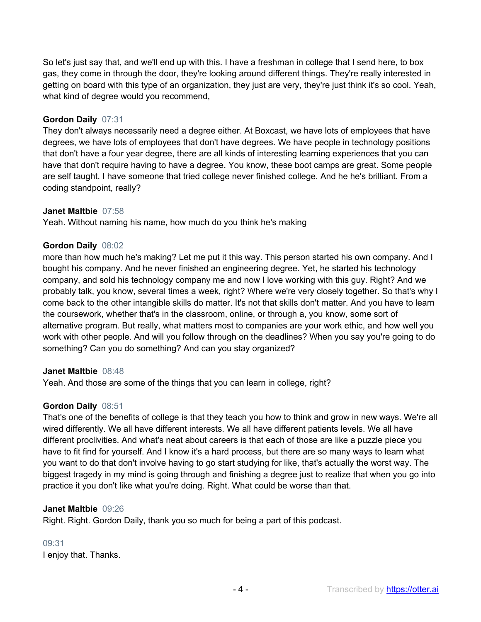So let's just say that, and we'll end up with this. I have a freshman in college that I send here, to box gas, they come in through the door, they're looking around different things. They're really interested in getting on board with this type of an organization, they just are very, they're just think it's so cool. Yeah, what kind of degree would you recommend,

# **Gordon Daily** 07:31

They don't always necessarily need a degree either. At Boxcast, we have lots of employees that have degrees, we have lots of employees that don't have degrees. We have people in technology positions that don't have a four year degree, there are all kinds of interesting learning experiences that you can have that don't require having to have a degree. You know, these boot camps are great. Some people are self taught. I have someone that tried college never finished college. And he he's brilliant. From a coding standpoint, really?

# **Janet Maltbie** 07:58

Yeah. Without naming his name, how much do you think he's making

# **Gordon Daily** 08:02

more than how much he's making? Let me put it this way. This person started his own company. And I bought his company. And he never finished an engineering degree. Yet, he started his technology company, and sold his technology company me and now I love working with this guy. Right? And we probably talk, you know, several times a week, right? Where we're very closely together. So that's why I come back to the other intangible skills do matter. It's not that skills don't matter. And you have to learn the coursework, whether that's in the classroom, online, or through a, you know, some sort of alternative program. But really, what matters most to companies are your work ethic, and how well you work with other people. And will you follow through on the deadlines? When you say you're going to do something? Can you do something? And can you stay organized?

# **Janet Maltbie** 08:48

Yeah. And those are some of the things that you can learn in college, right?

# **Gordon Daily** 08:51

That's one of the benefits of college is that they teach you how to think and grow in new ways. We're all wired differently. We all have different interests. We all have different patients levels. We all have different proclivities. And what's neat about careers is that each of those are like a puzzle piece you have to fit find for yourself. And I know it's a hard process, but there are so many ways to learn what you want to do that don't involve having to go start studying for like, that's actually the worst way. The biggest tragedy in my mind is going through and finishing a degree just to realize that when you go into practice it you don't like what you're doing. Right. What could be worse than that.

# **Janet Maltbie** 09:26

Right. Right. Gordon Daily, thank you so much for being a part of this podcast.

# 09:31

I enjoy that. Thanks.